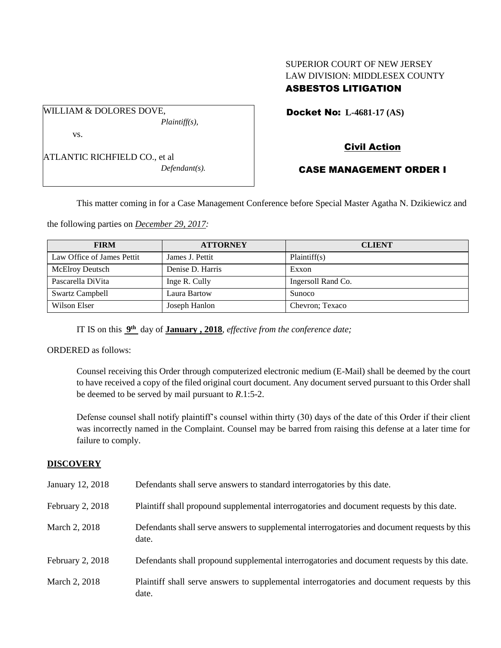# SUPERIOR COURT OF NEW JERSEY LAW DIVISION: MIDDLESEX COUNTY ASBESTOS LITIGATION

Docket No: **L-4681-17 (AS)** 

ATLANTIC RICHFIELD CO., et al

WILLIAM & DOLORES DOVE,

vs.

*Defendant(s).*

*Plaintiff(s),*

Civil Action

# CASE MANAGEMENT ORDER I

This matter coming in for a Case Management Conference before Special Master Agatha N. Dzikiewicz and

the following parties on *December 29, 2017:*

| <b>FIRM</b>                | <b>ATTORNEY</b>  | <b>CLIENT</b>      |
|----------------------------|------------------|--------------------|
| Law Office of James Pettit | James J. Pettit  | Plaintiff(s)       |
| <b>McElroy Deutsch</b>     | Denise D. Harris | Exxon              |
| Pascarella DiVita          | Inge R. Cully    | Ingersoll Rand Co. |
| <b>Swartz Campbell</b>     | Laura Bartow     | <b>Sunoco</b>      |
| Wilson Elser               | Joseph Hanlon    | Chevron; Texaco    |

IT IS on this **9 th** day of **January , 2018**, *effective from the conference date;*

ORDERED as follows:

Counsel receiving this Order through computerized electronic medium (E-Mail) shall be deemed by the court to have received a copy of the filed original court document. Any document served pursuant to this Order shall be deemed to be served by mail pursuant to *R*.1:5-2.

Defense counsel shall notify plaintiff's counsel within thirty (30) days of the date of this Order if their client was incorrectly named in the Complaint. Counsel may be barred from raising this defense at a later time for failure to comply.

# **DISCOVERY**

| January 12, 2018 | Defendants shall serve answers to standard interrogatories by this date.                              |
|------------------|-------------------------------------------------------------------------------------------------------|
| February 2, 2018 | Plaintiff shall propound supplemental interrogatories and document requests by this date.             |
| March 2, 2018    | Defendants shall serve answers to supplemental interrogatories and document requests by this<br>date. |
| February 2, 2018 | Defendants shall propound supplemental interrogatories and document requests by this date.            |
| March 2, 2018    | Plaintiff shall serve answers to supplemental interrogatories and document requests by this<br>date.  |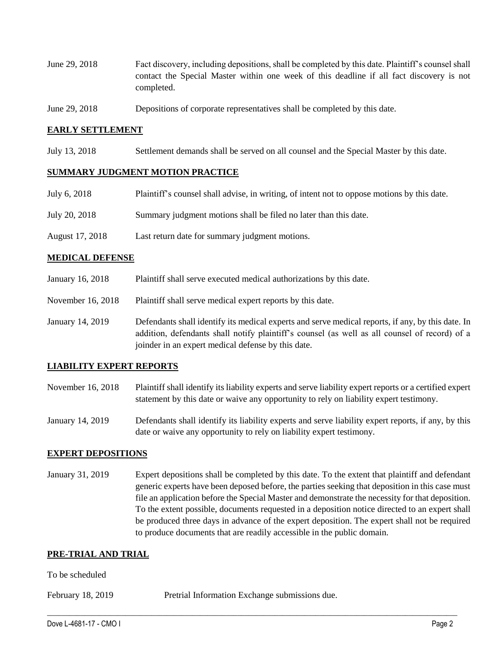- June 29, 2018 Fact discovery, including depositions, shall be completed by this date. Plaintiff's counsel shall contact the Special Master within one week of this deadline if all fact discovery is not completed.
- June 29, 2018 Depositions of corporate representatives shall be completed by this date.

### **EARLY SETTLEMENT**

July 13, 2018 Settlement demands shall be served on all counsel and the Special Master by this date.

#### **SUMMARY JUDGMENT MOTION PRACTICE**

| July 6, 2018    | Plaintiff's counsel shall advise, in writing, of intent not to oppose motions by this date. |
|-----------------|---------------------------------------------------------------------------------------------|
| July 20, 2018   | Summary judgment motions shall be filed no later than this date.                            |
| August 17, 2018 | Last return date for summary judgment motions.                                              |

#### **MEDICAL DEFENSE**

- January 16, 2018 Plaintiff shall serve executed medical authorizations by this date.
- November 16, 2018 Plaintiff shall serve medical expert reports by this date.
- January 14, 2019 Defendants shall identify its medical experts and serve medical reports, if any, by this date. In addition, defendants shall notify plaintiff's counsel (as well as all counsel of record) of a joinder in an expert medical defense by this date.

### **LIABILITY EXPERT REPORTS**

- November 16, 2018 Plaintiff shall identify its liability experts and serve liability expert reports or a certified expert statement by this date or waive any opportunity to rely on liability expert testimony.
- January 14, 2019 Defendants shall identify its liability experts and serve liability expert reports, if any, by this date or waive any opportunity to rely on liability expert testimony.

#### **EXPERT DEPOSITIONS**

January 31, 2019 Expert depositions shall be completed by this date. To the extent that plaintiff and defendant generic experts have been deposed before, the parties seeking that deposition in this case must file an application before the Special Master and demonstrate the necessity for that deposition. To the extent possible, documents requested in a deposition notice directed to an expert shall be produced three days in advance of the expert deposition. The expert shall not be required to produce documents that are readily accessible in the public domain.

 $\_$  ,  $\_$  ,  $\_$  ,  $\_$  ,  $\_$  ,  $\_$  ,  $\_$  ,  $\_$  ,  $\_$  ,  $\_$  ,  $\_$  ,  $\_$  ,  $\_$  ,  $\_$  ,  $\_$  ,  $\_$  ,  $\_$  ,  $\_$  ,  $\_$  ,  $\_$  ,  $\_$  ,  $\_$  ,  $\_$  ,  $\_$  ,  $\_$  ,  $\_$  ,  $\_$  ,  $\_$  ,  $\_$  ,  $\_$  ,  $\_$  ,  $\_$  ,  $\_$  ,  $\_$  ,  $\_$  ,  $\_$  ,  $\_$  ,

### **PRE-TRIAL AND TRIAL**

#### To be scheduled

February 18, 2019 Pretrial Information Exchange submissions due.